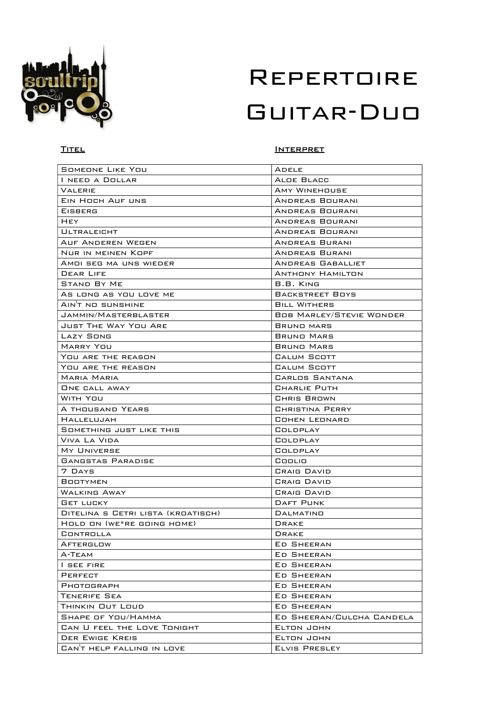

#### TITEL INTERPRET

| SOMEONE LIKE YOU                   | ADELE                           |
|------------------------------------|---------------------------------|
| I NEED A DOLLAR                    | ALDE BLACC                      |
| VALERIE                            | AMY WINEHOUSE                   |
| EIN HOCH AUF UNS                   | ANDREAS BOURANI                 |
| <b>EISBERG</b>                     | ANDREAS BOURANI                 |
| HEY                                | ANDREAS BOURANI                 |
| <b>ULTRALEIGHT</b>                 | ANDREAS BOURANI                 |
| AUF ANDEREN WEGEN                  | ANDREAS BURANI                  |
| Nur in meinen Kopf                 | ANDREAS BURANI                  |
| AMOI SEG MA UNS WIEDER             | ANDREAS GABALLIET               |
| DEAR LIFE                          | <b>ANTHONY HAMILTON</b>         |
| <b>STAND BY ME</b>                 | B.B. KING                       |
| As LONG AS YOU LOVE ME             | BACKSTREET BOYS                 |
| AIN'T NO SUNSHINE                  | <b>BILL WITHERS</b>             |
| JAMMIN/MASTERBLASTER               | <b>BOB MARLEY/STEVIE WONDER</b> |
| <b>JUST THE WAY YOU ARE</b>        | BRUNO MARS                      |
| LAZY SONG                          | BRUNO MARS                      |
| MARRY YOU                          | <b>BRUND MARS</b>               |
| YOU ARE THE REASON                 | CALUM SCOTT                     |
| YOU ARE THE REASON                 | CALUM SCOTT                     |
| <b>MARIA MARIA</b>                 | CARLOS SANTANA                  |
|                                    |                                 |
| <b>UNE CALL AWAY</b>               | CHARLIE PUTH                    |
| WITH YOU                           | CHRIS BROWN                     |
| A THOUSAND YEARS                   | <b>CHRISTINA PERRY</b>          |
| HALLELUJAH                         | COHEN LEONARD                   |
| SOMETHING JUST LIKE THIS           | COLDPLAY                        |
| Viva La Vida                       | COLDPLAY                        |
| MY UNIVERSE                        | COLDPLAY                        |
| <b>GANGSTAS PARADISE</b>           | Coolio                          |
| 7 DAYS                             | <b>CRAIG DAVID</b>              |
| <b>BOOTYMEN</b>                    | <b>CRAIG DAVID</b>              |
| WALKING AWAY                       | <b>CRAIG DAVID</b>              |
| <b>GET LUCKY</b>                   | <b>DAFT PUNK</b>                |
| DITELINA S CETRI LISTA (KROATISCH) | DALMATINO                       |
| HOLD ON (WE*RE GOING HOME)         | <b>DRAKE</b>                    |
| CONTROLLA                          | DRAKE                           |
| AFTERGLOW                          | ED SHEERAN                      |
| А-ТЕАМ                             | ED SHEERAN                      |
| I SEE FIRE                         | ED SHEERAN                      |
| PERFECT                            | ED SHEERAN                      |
| PHOTOGRAPH                         | ED SHEERAN                      |
| <b>TENERIFE SEA</b>                | <b>ED SHEERAN</b>               |
| THINKIN OUT LOUD                   | ED SHEERAN                      |
| SHAPE OF YOU/HAMMA                 | ED SHEERAN/CULCHA CANDELA       |
| CAN U FEEL THE LOVE TONIGHT        | ELTON JOHN                      |
| DER EWIGE KREIS                    | ELTON JOHN                      |
| CANT HELP FALLING IN LOVE          | ELVIS PRESLEY                   |
|                                    |                                 |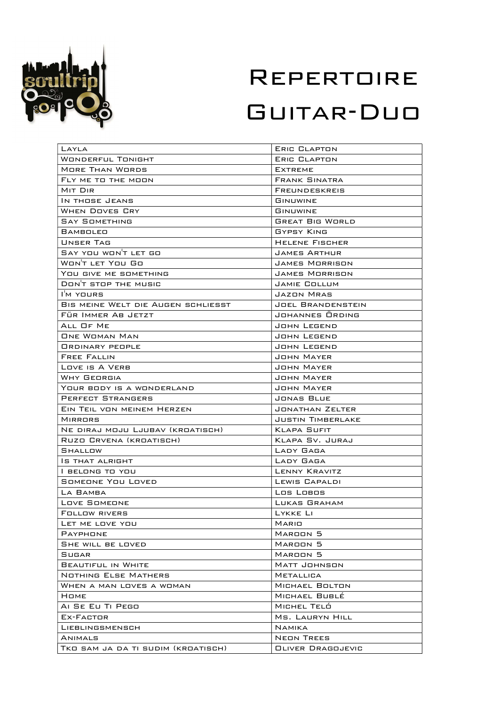

| LAYLA                              | ERIC CLAPTON             |
|------------------------------------|--------------------------|
| Wonderful Tonight                  | ERIC CLAPTON             |
| <b>MORE THAN WORDS</b>             | <b>EXTREME</b>           |
| FLY ME TO THE MOON                 | <b>FRANK SINATRA</b>     |
| MIT DIR                            | FREUNDESKREIS            |
| IN THOSE JEANS                     | <b>GINUWINE</b>          |
| WHEN DOVES CRY                     | GINUWINE                 |
| SAY SOMETHING                      | <b>GREAT BIG WORLD</b>   |
| BAMBOLEO                           | GYPSY KING               |
| UNSER TAG                          | HELENE FISCHER           |
| SAY YOU WON'T LET GO               | JAMES ARTHUR             |
| WON'T LET YOU GO                   | JAMES MORRISON           |
| YOU GIVE ME SOMETHING              | JAMES MORRISON           |
| DON'T STOP THE MUSIC               | JAMIE COLLUM             |
| I'M YOURS                          | JAZON MRAS               |
| BIS MEINE WELT DIE AUGEN SCHLIESST | <b>JOEL BRANDENSTEIN</b> |
| FÜR IMMER AB JETZT                 | JOHANNES ORDING          |
| ALL OF ME                          | JOHN LEGEND              |
| <b>ONE WOMAN MAN</b>               | JOHN LEGEND              |
| <b>ORDINARY PEOPLE</b>             | JOHN LEGEND              |
| <b>FREE FALLIN</b>                 | JOHN MAYER               |
| LOVE IS A VERB                     | JOHN MAYER               |
| WHY GEORGIA                        | JOHN MAYER               |
| YOUR BODY IS A WONDERLAND          | JOHN MAYER               |
| PERFECT STRANGERS                  | JONAS BLUE               |
| EIN TEIL VON MEINEM HERZEN         | JONATHAN ZELTER          |
| MIRRORS                            | <b>JUSTIN TIMBERLAKE</b> |
| NE DIRAJ MOJU LJUBAV (KROATISCH)   | <b>KLAPA SUFIT</b>       |
| Ruzo Crvena (kroatisch)            | KLAPA SV. JURAJ          |
| SHALLOW                            | LADY GAGA                |
| IS THAT ALRIGHT                    | LADY GAGA                |
| I BELONG TO YOU                    | LENNY KRAVITZ            |
| SOMEONE YOU LOVED                  | LEWIS CAPALDI            |
| LA BAMBA                           | Los Lobos                |
| LOVE SOMEONE                       | LUKAS GRAHAM             |
| <b>FOLLOW RIVERS</b>               | LYKKE LI                 |
| LET ME LOVE YOU                    | MARIO                    |
| PAYPHONE                           | MAROON 5                 |
| SHE WILL BE LOVED                  | MAROON <sub>5</sub>      |
| SUGAR                              | MAROON <sub>5</sub>      |
| <b>BEAUTIFUL IN WHITE</b>          | MATT JOHNSON             |
| <b>NOTHING ELSE MATHERS</b>        | <b>METALLICA</b>         |
| WHEN A MAN LOVES A WOMAN           | MICHAEL BOLTON           |
| Номе                               | MICHAEL BUBLÉ            |
| AI SE EU TI PEGO                   | MICHEL TELÓ              |
| EX-FACTOR                          | MS. LAURYN HILL          |
| LIEBLINGSMENSCH                    | NAMIKA                   |
| ANIMALS                            | NEON TREES               |
| TKO SAM JA DA TI SUDIM (KROATISCH) | <b>OLIVER DRAGOJEVIC</b> |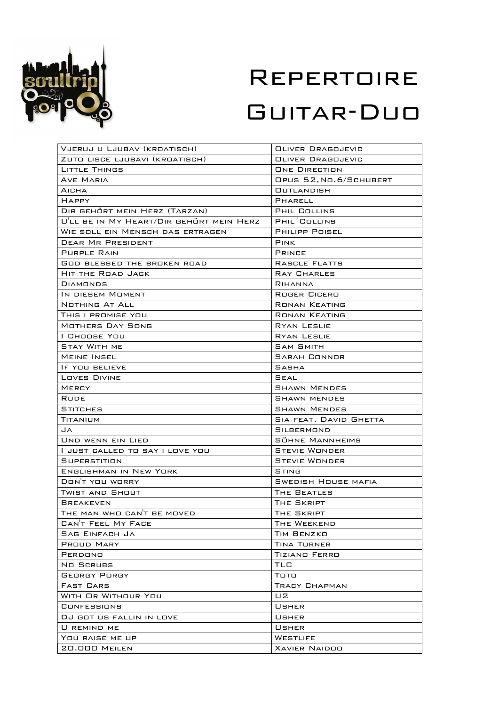

| VJERUJ U LJUBAV (KROATISCH)                    | <b>OLIVER DRAGOJEVIC</b>                      |
|------------------------------------------------|-----------------------------------------------|
| ZUTO LISCE LJUBAVI (KROATISCH)                 | OLIVER DRAGOJEVIC                             |
| LITTLE THINGS                                  | <b>ONE DIRECTION</b>                          |
| AVE MARIA                                      | OPUS 52, NO.6/SCHUBERT                        |
| AICHA                                          | <b>OUTLANDISH</b>                             |
| <b>HAPPY</b>                                   | PHARELL                                       |
| DIR GEHÖRT MEIN HERZ (TARZAN)                  | PHIL COLLINS                                  |
| U'LL BE IN MY HEART/DIR GEHÖRT MEIN HERZ       | PHIL <sup>'</sup> COLLINS                     |
| WIE SOLL EIN MENSCH DAS ERTRAGEN               | <b>PHILIPP POISEL</b>                         |
| <b>DEAR MR PRESIDENT</b>                       | <b>PINK</b>                                   |
| PURPLE RAIN                                    | <b>PRINCE</b>                                 |
| <b>GOD BLESSED THE BROKEN ROAD</b>             | RASCLE FLATTS                                 |
| HIT THE ROAD JACK                              | RAY CHARLES                                   |
| DIAMONDS                                       | RIHANNA                                       |
| IN DIESEM MOMENT                               | ROGER CICERO                                  |
| NOTHING AT ALL                                 | <b>RONAN KEATING</b>                          |
| THIS I PROMISE YOU                             | <b>RONAN KEATING</b>                          |
| MOTHERS DAY SONG                               | RYAN LESLIE                                   |
| I Choose You                                   | <b>RYAN LESLIE</b>                            |
| <b>STAY WITH ME</b>                            | <b>SAM SMITH</b>                              |
| <b>MEINE INSEL</b>                             | <b>SARAH CONNOR</b>                           |
| IF YOU BELIEVE                                 | SASHA                                         |
| LOVES DIVINE                                   | SEAL                                          |
| MERCY                                          | <b>SHAWN MENDES</b>                           |
| <b>RUDE</b>                                    | <b>SHAWN MENDES</b>                           |
|                                                |                                               |
| STITCHES                                       | <b>SHAWN MENDES</b><br>SIA FEAT. DAVID GHETTA |
| TITANIUM<br>JA                                 | SILBERMOND                                    |
| UND WENN EIN LIED                              | SÖHNE MANNHEIMS                               |
| l just called to say i love you                | <b>STEVIE WONDER</b>                          |
| SUPERSTITION                                   | <b>STEVIE WONDER</b>                          |
| <b>ENGLISHMAN IN NEW YORK</b>                  | STING                                         |
| DON'T YOU WORRY                                | <b>SWEDISH HOUSE MAFIA</b>                    |
| TWIST AND SHOUT                                | THE BEATLES                                   |
|                                                | THE SKRIPT                                    |
| <b>BREAKEVEN</b><br>THE MAN WHO CAN'T BE MOVED | THE SKRIPT                                    |
| CANT FEEL MY FACE                              | THE WEEKEND                                   |
| <b>SAG EINFACH JA</b>                          | TIM BENZKO                                    |
| PROUD MARY                                     | <b>TINA TURNER</b>                            |
| PERDONO                                        |                                               |
|                                                | TIZIANO FERRO<br>TLC                          |
| NO SCRUBS                                      |                                               |
| GEORGY PORGY<br><b>FAST CARS</b>               | Тото<br>TRACY CHAPMAN                         |
|                                                |                                               |
| WITH OR WITHOUR YOU                            | U2                                            |
| CONFESSIONS                                    | USHER                                         |
| DJ GOT US FALLIN IN LOVE                       | USHER                                         |
| U REMIND ME                                    | USHER                                         |
| YOU RAISE ME UP                                | WESTLIFE                                      |
| 20.000 MEILEN                                  | <b>XAVIER NAIDOO</b>                          |